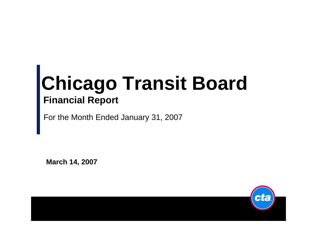# **Chicago Transit Board Financial Report**

For the Month Ended January 31, 2007

**March 14, 2007**

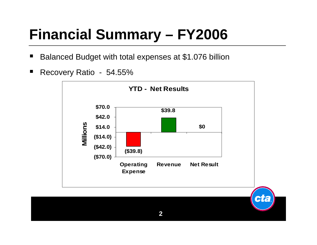### **Financial Summary - FY2006**

- Balanced Budget with total expenses at \$1.076 billion
- Recovery Ratio 54.55% ш

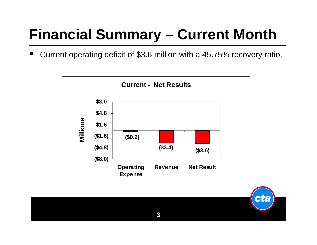### **Financial Summary - Current Month**

Current operating deficit of \$3.6 million with a 45.75% recovery ratio. w



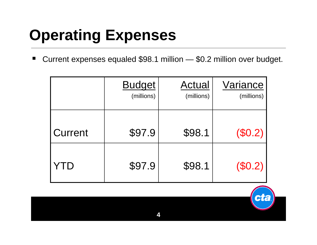# **Operating Expenses**

 $\blacksquare$ ■ Current expenses equaled \$98.1 million – \$0.2 million over budget.

|                | <b>Budget</b><br>(millions) | <b>Actual</b><br>(millions) | Variance<br>(millions) |
|----------------|-----------------------------|-----------------------------|------------------------|
| <b>Current</b> | \$97.9                      | \$98.1                      | $\$0.2)$               |
|                | \$97.9                      | \$98.1                      | $\$0.2)$               |

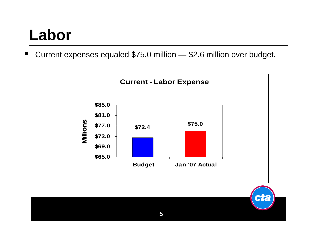### Labor

Current expenses equaled \$75.0 million - \$2.6 million over budget.



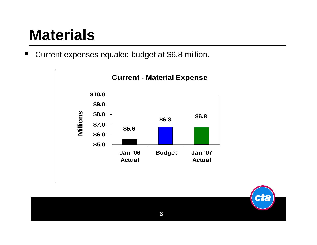### **Materials**

٠ Current expenses equaled budget at \$6.8 million.



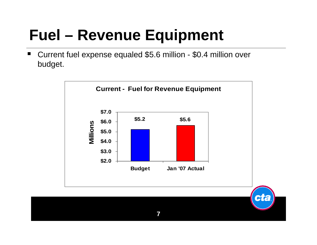# **Fuel – Revenue Equipment**

 $\blacksquare$  Current fuel expense equaled \$5.6 million - \$0.4 million over budget.

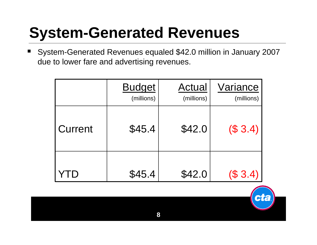### **System-Generated Revenues**

٠ System-Generated Revenues equaled \$42.0 million in January 2007 due to lower fare and advertising revenues.

|                | <b>Budget</b><br>(millions) | Actual<br>(millions) | Variance<br>(millions) |
|----------------|-----------------------------|----------------------|------------------------|
| <b>Current</b> | \$45.4                      | \$42.0               | (\$3.4)                |
|                | \$45.4                      | \$42.0               | $(S\ 3.4)$             |

**City**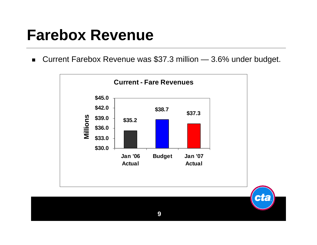#### **Farebox Revenue**

 $\blacksquare$ ■ Current Farebox Revenue was \$37.3 million — 3.6% under budget.

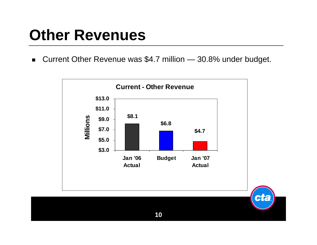### **Other Revenues**

Current Other Revenue was \$4.7 million - 30.8% under budget.  $\blacksquare$